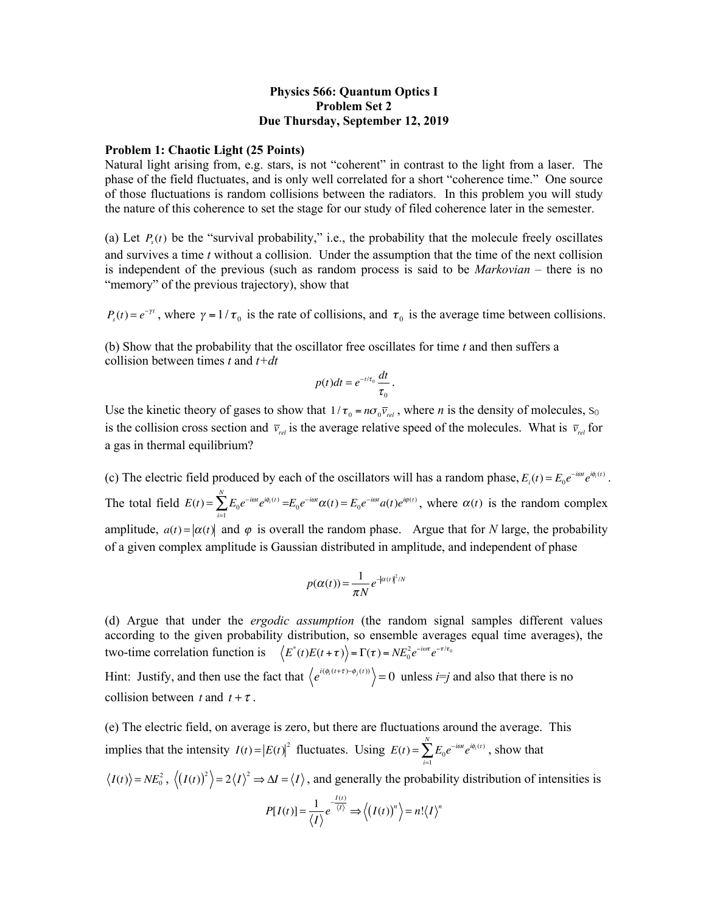## **Physics 566: Quantum Optics I Problem Set 2 Due Thursday, September 12, 2019**

## **Problem 1: Chaotic Light (25 Points)**

Natural light arising from, e.g. stars, is not "coherent" in contrast to the light from a laser. The phase of the field fluctuates, and is only well correlated for a short "coherence time." One source of those fluctuations is random collisions between the radiators. In this problem you will study the nature of this coherence to set the stage for our study of filed coherence later in the semester.

(a) Let  $P_s(t)$  be the "survival probability," i.e., the probability that the molecule freely oscillates and survives a time *t* without a collision. Under the assumption that the time of the next collision is independent of the previous (such as random process is said to be *Markovian* – there is no "memory" of the previous trajectory), show that

 $P_s(t) = e^{-\gamma t}$ , where  $\gamma = 1/\tau_0$  is the rate of collisions, and  $\tau_0$  is the average time between collisions.

(b) Show that the probability that the oscillator free oscillates for time *t* and then suffers a collision between times *t* and *t+dt*

$$
p(t)dt = e^{-t/\tau_0}\frac{dt}{\tau_0}.
$$

Use the kinetic theory of gases to show that  $1/\tau_0 = n\sigma_0 \overline{v}_{rel}$ , where *n* is the density of molecules, s<sub>0</sub> is the collision cross section and  $\bar{v}_{rel}$  is the average relative speed of the molecules. What is  $\bar{v}_{rel}$  for a gas in thermal equilibrium?

(c) The electric field produced by each of the oscillators will has a random phase,  $E_i(t) = E_0 e^{-i\omega t} e^{i\phi_i(t)}$ . The total field  $E(t) = \sum E_0 e^{-i\omega t} e^{i\phi_1(t)} = E_0 e^{-i\omega t} \alpha(t) = E_0 e^{-i\omega t} a(t) e^{i\phi(t)}$ , where  $\alpha(t)$  is the random complex amplitude,  $a(t) = |\alpha(t)|$  and  $\varphi$  is overall the random phase. Argue that for *N* large, the probability of a given complex amplitude is Gaussian distributed in amplitude, and independent of phase *i*=1  $\sum_{i=1}^{N} E_0 e^{-i\omega t} e^{i\phi_i(t)} = E_0 e^{-i\omega t} \alpha(t) = E_0 e^{-i\omega t} a(t) e^{i\phi(t)}$ , where  $\alpha(t)$ 

$$
p(\alpha(t)) = \frac{1}{\pi N} e^{-|\alpha(t)|^2/N}
$$

(d) Argue that under the *ergodic assumption* (the random signal samples different values according to the given probability distribution, so ensemble averages equal time averages), the two-time correlation function is  $\langle E^*(t)E(t+\tau) \rangle = \Gamma(\tau) = NE_0^2 e^{-i\omega\tau} e^{-\tau/\tau_0}$ 

Hint: Justify, and then use the fact that  $\langle e^{i(\phi_i(t+\tau) - \phi_j(t))} \rangle = 0$  unless *i*=*j* and also that there is no collision between t and  $t + \tau$ .

(e) The electric field, on average is zero, but there are fluctuations around the average. This implies that the intensity  $I(t) = |E(t)|^2$  fluctuates. Using  $E(t) = \sum E_0 e^{-i\omega t} e^{i\phi_0(t)}$ , show that *i*=1 *N* ∑

 $I(t)$  =  $NE_0^2$ ,  $\langle (I(t))^2 \rangle = 2\langle I \rangle^2 \Rightarrow \Delta I = \langle I \rangle$ , and generally the probability distribution of intensities is

$$
P[I(t)] = \frac{1}{\langle I \rangle} e^{-\frac{I(t)}{\langle I \rangle}} \Longrightarrow \langle (I(t))^n \rangle = n! \langle I \rangle^n
$$